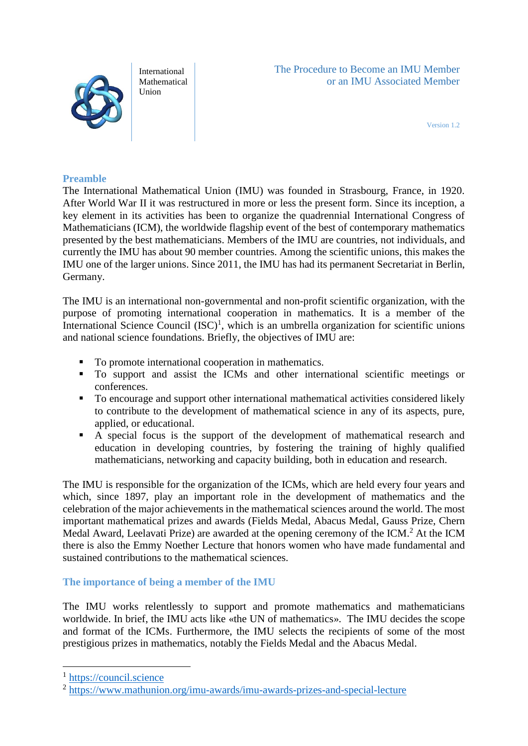

International Mathematical Union

Version 1.2

### **Preamble**

The International Mathematical Union (IMU) was founded in Strasbourg, France, in 1920. After World War II it was restructured in more or less the present form. Since its inception, a key element in its activities has been to organize the quadrennial International Congress of Mathematicians (ICM), the worldwide flagship event of the best of contemporary mathematics presented by the best mathematicians. Members of the IMU are countries, not individuals, and currently the IMU has about 90 member countries. Among the scientific unions, this makes the IMU one of the larger unions. Since 2011, the IMU has had its permanent Secretariat in Berlin, Germany.

The IMU is an international non-governmental and non-profit scientific organization, with the purpose of promoting international cooperation in mathematics. It is a member of the International Science Council  $(ISC)^1$ , which is an umbrella organization for scientific unions and national science foundations. Briefly, the objectives of IMU are:

- To promote international cooperation in mathematics.
- To support and assist the ICMs and other international scientific meetings or conferences.
- To encourage and support other international mathematical activities considered likely to contribute to the development of mathematical science in any of its aspects, pure, applied, or educational.
- A special focus is the support of the development of mathematical research and education in developing countries, by fostering the training of highly qualified mathematicians, networking and capacity building, both in education and research.

The IMU is responsible for the organization of the ICMs, which are held every four years and which, since 1897, play an important role in the development of mathematics and the celebration of the major achievements in the mathematical sciences around the world. The most important mathematical prizes and awards (Fields Medal, Abacus Medal, Gauss Prize, Chern Medal Award, Leelavati Prize) are awarded at the opening ceremony of the ICM.<sup>2</sup> At the ICM there is also the Emmy Noether Lecture that honors women who have made fundamental and sustained contributions to the mathematical sciences.

**The importance of being a member of the IMU**

The IMU works relentlessly to support and promote mathematics and mathematicians worldwide. In brief, the IMU acts like «the UN of mathematics». The IMU decides the scope and format of the ICMs. Furthermore, the IMU selects the recipients of some of the most prestigious prizes in mathematics, notably the Fields Medal and the Abacus Medal.

1

<sup>&</sup>lt;sup>1</sup> [https://council.science](https://council.science/)

<sup>&</sup>lt;sup>2</sup> <https://www.mathunion.org/imu-awards/imu-awards-prizes-and-special-lecture>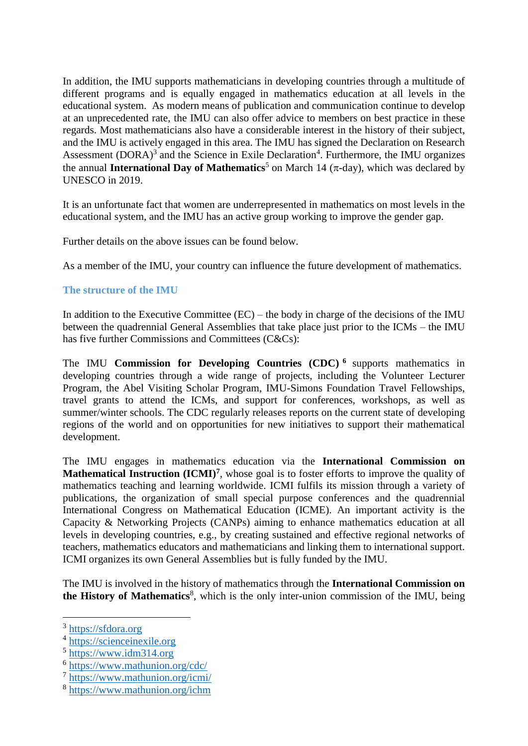In addition, the IMU supports mathematicians in developing countries through a multitude of different programs and is equally engaged in mathematics education at all levels in the educational system. As modern means of publication and communication continue to develop at an unprecedented rate, the IMU can also offer advice to members on best practice in these regards. Most mathematicians also have a considerable interest in the history of their subject, and the IMU is actively engaged in this area. The IMU has signed the Declaration on Research Assessment  $(DORA)^3$  and the Science in Exile Declaration<sup>4</sup>. Furthermore, the IMU organizes the annual **International Day of Mathematics**<sup>5</sup> on March 14 ( $\pi$ -day), which was declared by UNESCO in 2019.

It is an unfortunate fact that women are underrepresented in mathematics on most levels in the educational system, and the IMU has an active group working to improve the gender gap.

Further details on the above issues can be found below.

As a member of the IMU, your country can influence the future development of mathematics.

### **The structure of the IMU**

In addition to the Executive Committee  $(EC)$  – the body in charge of the decisions of the IMU between the quadrennial General Assemblies that take place just prior to the ICMs – the IMU has five further Commissions and Committees (C&Cs):

The IMU **Commission for Developing Countries (CDC) 6** supports mathematics in developing countries through a wide range of projects, including the Volunteer Lecturer Program, the Abel Visiting Scholar Program, IMU-Simons Foundation Travel Fellowships, travel grants to attend the ICMs, and support for conferences, workshops, as well as summer/winter schools. The CDC regularly releases reports on the current state of developing regions of the world and on opportunities for new initiatives to support their mathematical development.

The IMU engages in mathematics education via the **International Commission on Mathematical Instruction (ICMI)<sup>7</sup>**, whose goal is to foster efforts to improve the quality of mathematics teaching and learning worldwide. ICMI fulfils its mission through a variety of publications, the organization of small special purpose conferences and the quadrennial International Congress on Mathematical Education (ICME). An important activity is the Capacity & Networking Projects (CANPs) aiming to enhance mathematics education at all levels in developing countries, e.g., by creating sustained and effective regional networks of teachers, mathematics educators and mathematicians and linking them to international support. ICMI organizes its own General Assemblies but is fully funded by the IMU.

The IMU is involved in the history of mathematics through the **International Commission on**  the History of Mathematics<sup>8</sup>, which is the only inter-union commission of the IMU, being

<u>.</u>

<sup>&</sup>lt;sup>3</sup> [https://sfdora.org](https://sfdora.org/)

<sup>&</sup>lt;sup>4</sup> [https://scienceinexile.org](https://scienceinexile.org/)

<sup>5</sup> [https://www.idm314.org](https://www.idm314.org/)

<sup>6</sup> <https://www.mathunion.org/cdc/>

<sup>7</sup> <https://www.mathunion.org/icmi/>

<sup>8</sup> <https://www.mathunion.org/ichm>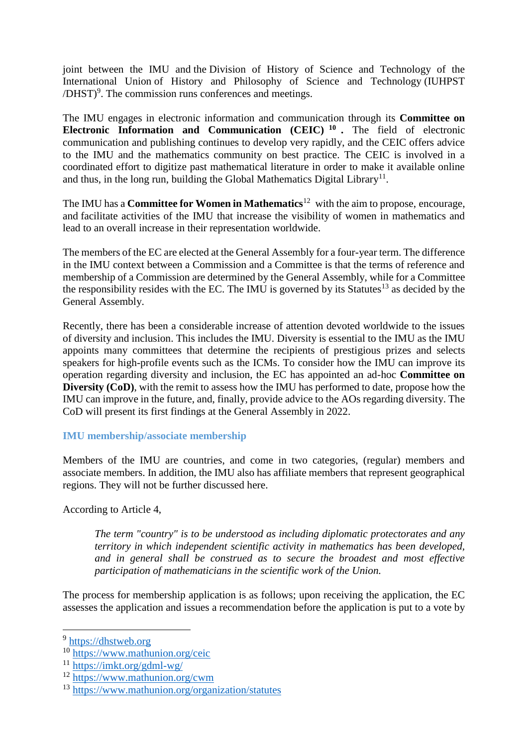joint between the IMU and the Division of History of Science and Technology of the International Union of History and Philosophy of Science and Technology (IUHPST  $/DHST$ <sup>9</sup>. The commission runs conferences and meetings.

The IMU engages in electronic information and communication through its **Committee on Electronic Information and Communication (CEIC) <sup>10</sup> .** The field of electronic communication and publishing continues to develop very rapidly, and the CEIC offers advice to the IMU and the mathematics community on best practice. The CEIC is involved in a coordinated effort to digitize past mathematical literature in order to make it available online and thus, in the long run, building the Global Mathematics Digital Library<sup>11</sup>.

The IMU has a **Committee for Women in Mathematics**<sup>12</sup> with the aim to propose, encourage, and facilitate activities of the IMU that increase the visibility of women in mathematics and lead to an overall increase in their representation worldwide.

The members of the EC are elected at the General Assembly for a four-year term. The difference in the IMU context between a Commission and a Committee is that the terms of reference and membership of a Commission are determined by the General Assembly, while for a Committee the responsibility resides with the EC. The IMU is governed by its Statutes<sup>13</sup> as decided by the General Assembly.

Recently, there has been a considerable increase of attention devoted worldwide to the issues of diversity and inclusion. This includes the IMU. Diversity is essential to the IMU as the IMU appoints many committees that determine the recipients of prestigious prizes and selects speakers for high-profile events such as the ICMs. To consider how the IMU can improve its operation regarding diversity and inclusion, the EC has appointed an ad-hoc **Committee on Diversity (CoD)**, with the remit to assess how the IMU has performed to date, propose how the IMU can improve in the future, and, finally, provide advice to the AOs regarding diversity. The CoD will present its first findings at the General Assembly in 2022.

# **IMU membership/associate membership**

Members of the IMU are countries, and come in two categories, (regular) members and associate members. In addition, the IMU also has affiliate members that represent geographical regions. They will not be further discussed here.

According to Article 4,

*The term "country" is to be understood as including diplomatic protectorates and any territory in which independent scientific activity in mathematics has been developed, and in general shall be construed as to secure the broadest and most effective participation of mathematicians in the scientific work of the Union.* 

The process for membership application is as follows; upon receiving the application, the EC assesses the application and issues a recommendation before the application is put to a vote by

<u>.</u>

<sup>&</sup>lt;sup>9</sup> [https://dhstweb.org](https://dhstweb.org/)

<sup>10</sup> <https://www.mathunion.org/ceic>

<sup>11</sup> <https://imkt.org/gdml-wg/>

<sup>12</sup> <https://www.mathunion.org/cwm>

<sup>13</sup> <https://www.mathunion.org/organization/statutes>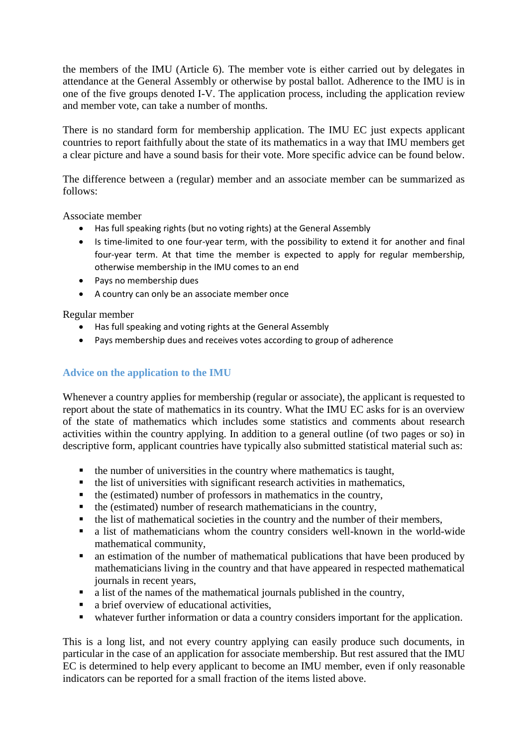the members of the IMU (Article 6). The member vote is either carried out by delegates in attendance at the General Assembly or otherwise by postal ballot. Adherence to the IMU is in one of the five groups denoted I-V. The application process, including the application review and member vote, can take a number of months.

There is no standard form for membership application. The IMU EC just expects applicant countries to report faithfully about the state of its mathematics in a way that IMU members get a clear picture and have a sound basis for their vote. More specific advice can be found below.

The difference between a (regular) member and an associate member can be summarized as follows:

Associate member

- Has full speaking rights (but no voting rights) at the General Assembly
- Is time-limited to one four-year term, with the possibility to extend it for another and final four-year term. At that time the member is expected to apply for regular membership, otherwise membership in the IMU comes to an end
- Pays no membership dues
- A country can only be an associate member once

Regular member

- Has full speaking and voting rights at the General Assembly
- Pays membership dues and receives votes according to group of adherence

# **Advice on the application to the IMU**

Whenever a country applies for membership (regular or associate), the applicant is requested to report about the state of mathematics in its country. What the IMU EC asks for is an overview of the state of mathematics which includes some statistics and comments about research activities within the country applying. In addition to a general outline (of two pages or so) in descriptive form, applicant countries have typically also submitted statistical material such as:

- the number of universities in the country where mathematics is taught,
- the list of universities with significant research activities in mathematics,
- the (estimated) number of professors in mathematics in the country,
- $\blacksquare$  the (estimated) number of research mathematicians in the country,
- the list of mathematical societies in the country and the number of their members,
- a list of mathematicians whom the country considers well-known in the world-wide mathematical community,
- an estimation of the number of mathematical publications that have been produced by mathematicians living in the country and that have appeared in respected mathematical journals in recent years,
- a list of the names of the mathematical journals published in the country,
- a brief overview of educational activities,
- whatever further information or data a country considers important for the application.

This is a long list, and not every country applying can easily produce such documents, in particular in the case of an application for associate membership. But rest assured that the IMU EC is determined to help every applicant to become an IMU member, even if only reasonable indicators can be reported for a small fraction of the items listed above.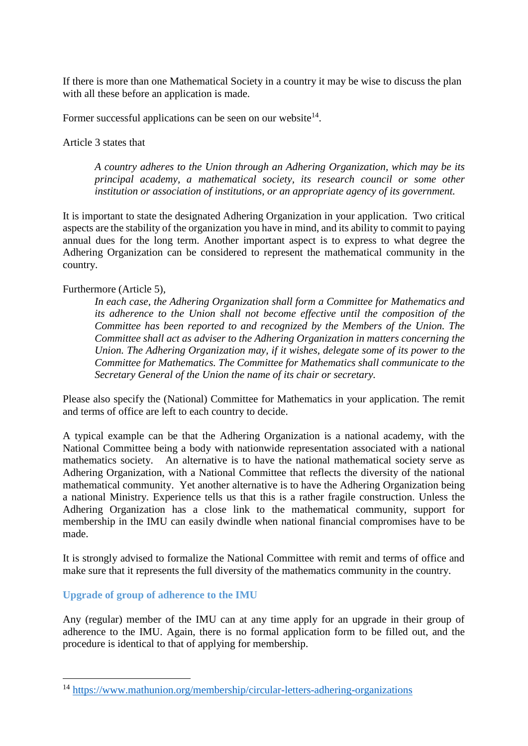If there is more than one Mathematical Society in a country it may be wise to discuss the plan with all these before an application is made.

Former successful applications can be seen on our website $14$ .

Article 3 states that

*A country adheres to the Union through an Adhering Organization, which may be its principal academy, a mathematical society, its research council or some other institution or association of institutions, or an appropriate agency of its government.* 

It is important to state the designated Adhering Organization in your application. Two critical aspects are the stability of the organization you have in mind, and its ability to commit to paying annual dues for the long term. Another important aspect is to express to what degree the Adhering Organization can be considered to represent the mathematical community in the country.

### Furthermore (Article 5),

*In each case, the Adhering Organization shall form a Committee for Mathematics and its adherence to the Union shall not become effective until the composition of the Committee has been reported to and recognized by the Members of the Union. The Committee shall act as adviser to the Adhering Organization in matters concerning the Union. The Adhering Organization may, if it wishes, delegate some of its power to the Committee for Mathematics. The Committee for Mathematics shall communicate to the Secretary General of the Union the name of its chair or secretary.* 

Please also specify the (National) Committee for Mathematics in your application. The remit and terms of office are left to each country to decide.

A typical example can be that the Adhering Organization is a national academy, with the National Committee being a body with nationwide representation associated with a national mathematics society. An alternative is to have the national mathematical society serve as Adhering Organization, with a National Committee that reflects the diversity of the national mathematical community. Yet another alternative is to have the Adhering Organization being a national Ministry. Experience tells us that this is a rather fragile construction. Unless the Adhering Organization has a close link to the mathematical community, support for membership in the IMU can easily dwindle when national financial compromises have to be made.

It is strongly advised to formalize the National Committee with remit and terms of office and make sure that it represents the full diversity of the mathematics community in the country.

**Upgrade of group of adherence to the IMU**

<u>.</u>

Any (regular) member of the IMU can at any time apply for an upgrade in their group of adherence to the IMU. Again, there is no formal application form to be filled out, and the procedure is identical to that of applying for membership.

<sup>14</sup> <https://www.mathunion.org/membership/circular-letters-adhering-organizations>